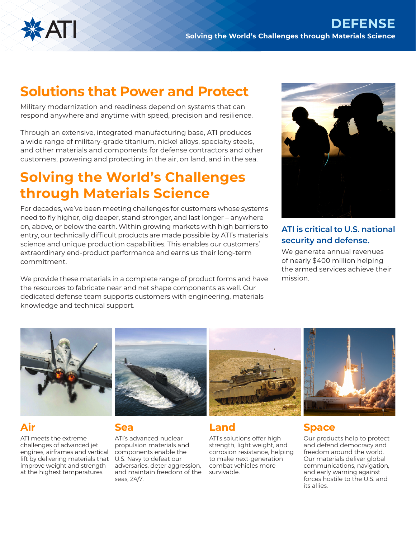

# **Solutions that Power and Protect**

Military modernization and readiness depend on systems that can respond anywhere and anytime with speed, precision and resilience.

Through an extensive, integrated manufacturing base, ATI produces a wide range of military-grade titanium, nickel alloys, specialty steels, and other materials and components for defense contractors and other customers, powering and protecting in the air, on land, and in the sea.

# **Solving the World's Challenges through Materials Science**

For decades, we've been meeting challenges for customers whose systems need to fly higher, dig deeper, stand stronger, and last longer – anywhere on, above, or below the earth. Within growing markets with high barriers to entry, our technically difficult products are made possible by ATI's materials science and unique production capabilities. This enables our customers' extraordinary end-product performance and earns us their long-term commitment.

We provide these materials in a complete range of product forms and have the resources to fabricate near and net shape components as well. Our dedicated defense team supports customers with engineering, materials knowledge and technical support.



## **ATI is critical to U.S. national security and defense.**

We generate annual revenues of nearly \$400 million helping the armed services achieve their mission.



## **Air**

ATI meets the extreme challenges of advanced jet engines, airframes and vertical lift by delivering materials that improve weight and strength at the highest temperatures.



### **Sea**

ATI's advanced nuclear propulsion materials and components enable the U.S. Navy to defeat our adversaries, deter aggression, and maintain freedom of the seas, 24/7.



## **Land**

ATI's solutions offer high strength, light weight, and corrosion resistance, helping to make next-generation combat vehicles more survivable.



## **Space**

Our products help to protect and defend democracy and freedom around the world. Our materials deliver global communications, navigation, and early warning against forces hostile to the U.S. and its allies.